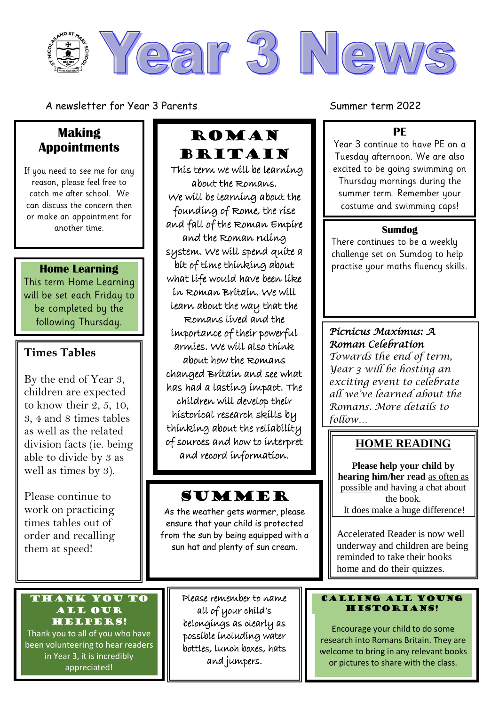

A newsletter for Year 3 Parents Summer term 2022

## **Making Appointments**

If you need to see me for any reason, please feel free to catch me after school. We can discuss the concern then or make an appointment for another time.

#### **Home Learning**

This term Home Learning will be set each Friday to be completed by the following Thursday.

### **Times Tables**

By the end of Year 3, children are expected to know their 2, 5, 10, 3, 4 and 8 times tables as well as the related division facts (ie. being able to divide by 3 as well as times by 3).

Please continue to work on practicing times tables out of order and recalling them at speed!

#### Thank you to all our helpers!

Thank you to all of you who have been volunteering to hear readers in Year 3, it is incredibly appreciated!

# **ROMAN** Britain

This term we will be learning about the Romans. We will be learning about the founding of Rome, the rise and fall of the Roman Empire and the Roman ruling system. We will spend quite a bit of time thinking about what life would have been like in Roman Britain. We will learn about the way that the Romans lived and the importance of their powerful armies. We will also think about how the Romans changed Britain and see what has had a lasting impact. The children will develop their historical research skills by thinking about the reliability of sources and how to interpret and record information.

# SUMMER

l

As the weather gets warmer, please ensure that your child is protected from the sun by being equipped with a sun hat and plenty of sun cream.

> Please remember to name all of your child's belongings as clearly as possible including water bottles, lunch boxes, hats and jumpers.

> > Thank you.

#### **PE**

Year 3 continue to have PE on a Tuesday afternoon. We are also excited to be going swimming on Thursday mornings during the summer term. Remember your costume and swimming caps!

#### **Sumdog**

There continues to be a weekly challenge set on Sumdog to help practise your maths fluency skills.

## *Picnicus Maximus: A Roman Celebration*

*Towards the end of term, Year 3 will be hosting an exciting event to celebrate all we've learned about the Romans. More details to follow…*

## **HOME READING**

**Please help your child by hearing him/her read** as often as possible and having a chat about the book. It does make a huge difference!

Accelerated Reader is now well underway and children are being reminded to take their books home and do their quizzes.

#### Calling all young HISTORIANS!

Encourage your child to do some research into Romans Britain. They are welcome to bring in any relevant books or pictures to share with the class.